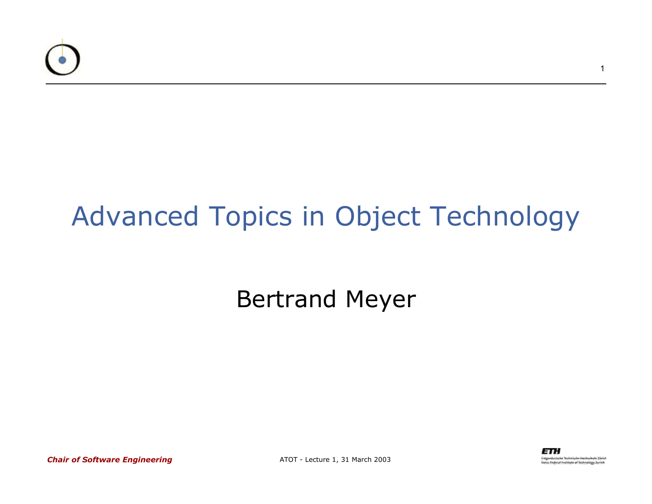

### Advanced Topics in Object Technology

### Bertrand Meyer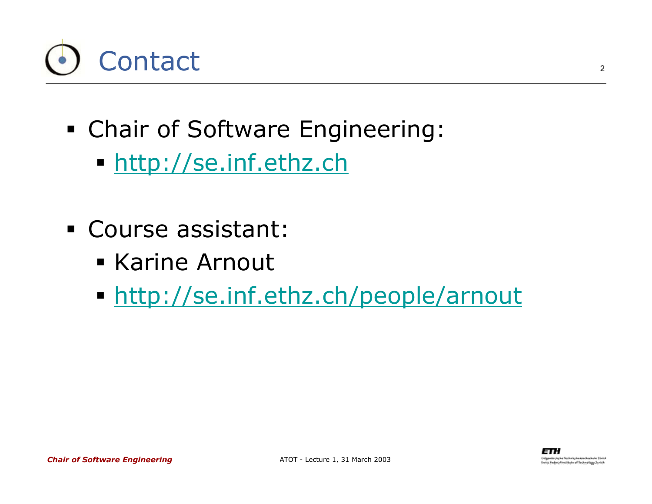

- Chair of Software Engineering:
	- <u>http://se.inf.ethz.ch</u>
- Course assistant:
	- **Karine Arnout**
	- http://se.inf.ethz.ch/people/arnout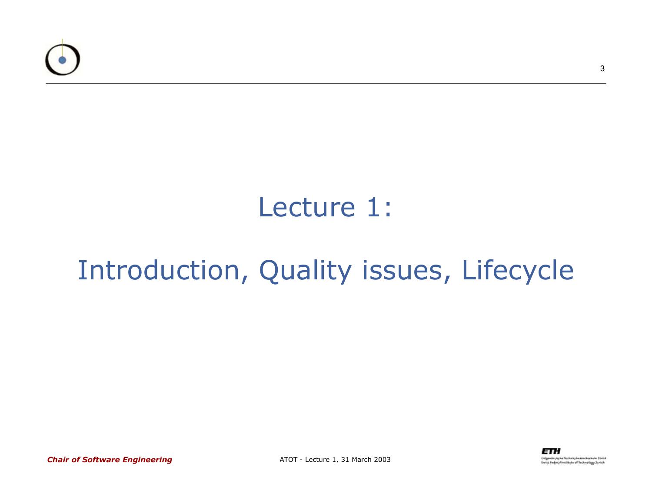

### Lecture 1:

### Introduction, Quality issues, Lifecycle

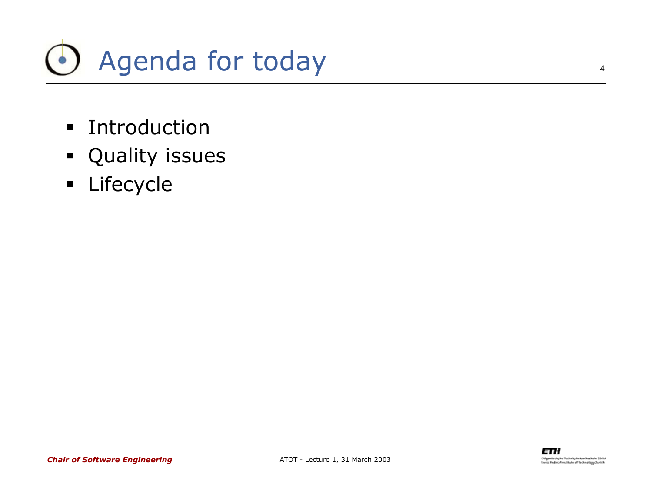

- **EXECUTE: Introduction**
- **•** Quality issues
- **E** Lifecycle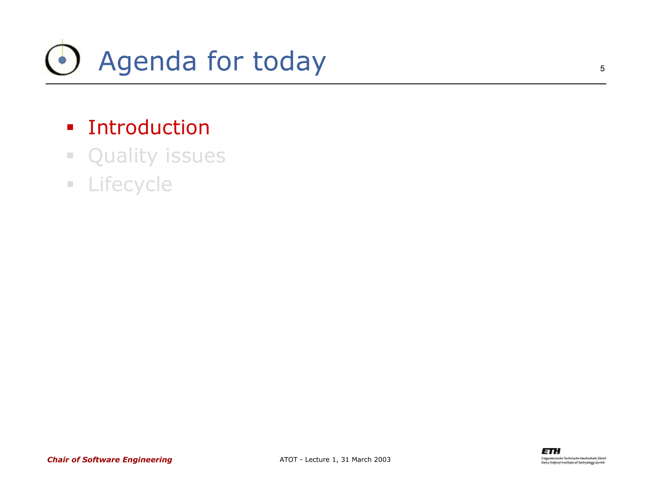

#### **Exercise 1** Introduction

- $\mathcal{L}_{\mathcal{A}}$ Quality issues
- **ELifecycle**

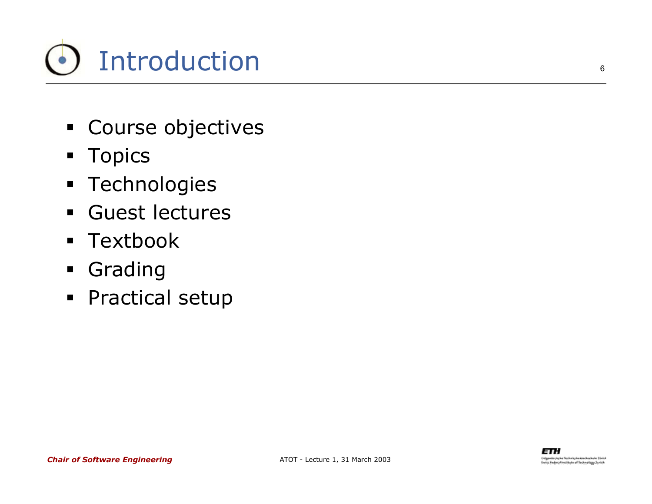

- **Course objectives**
- **Topics**
- **Technologies**
- $\blacksquare$ Guest lectures
- Textbook
- **Grading**
- **•** Practical setup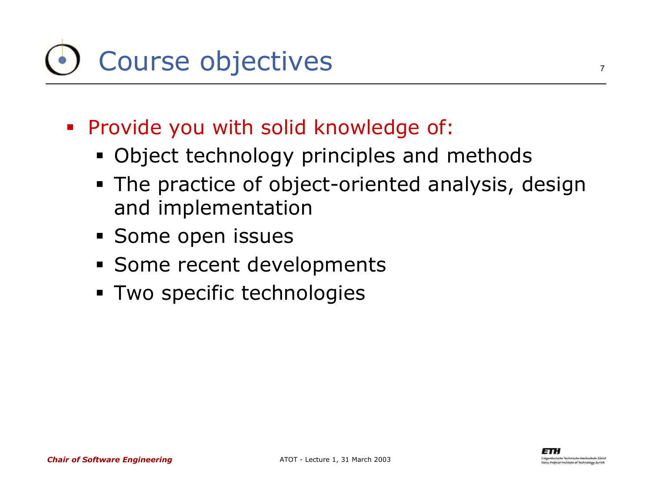# Course objectives

- Provide you with solid knowledge of:
	- Object technology principles and methods
	- **The practice of object-oriented analysis, design** and implementation
	- **Some open issues**
	- **Some recent developments**
	- **Two specific technologies**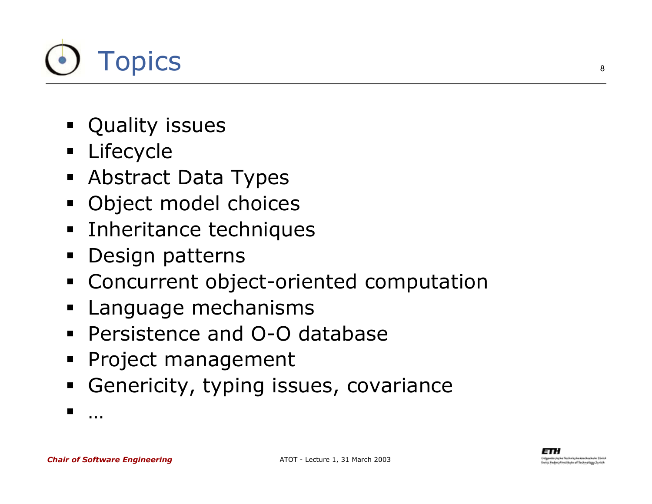

- **•** Quality issues
- **Lifecycle**
- Abstract Data Types
- Object model choices
- **EXTENCE Inheritance techniques**
- $\blacksquare$ Design patterns
- Concurrent object-oriented computation
- E Language mechanisms
- Persistence and O-O database
- Project management
- E Genericity, typing issues, covariance

…

L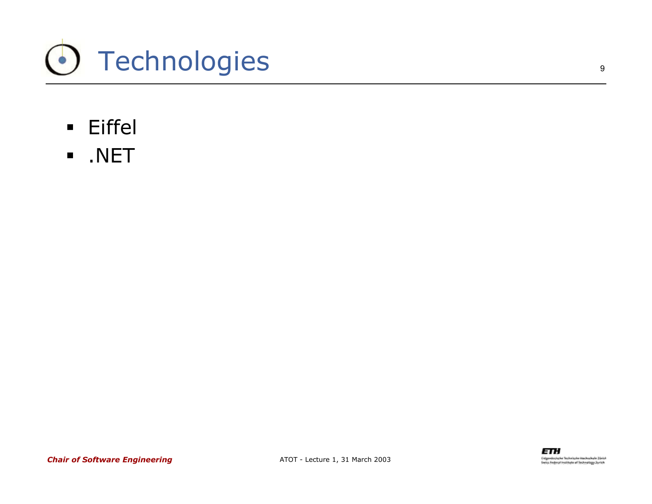

- Eiffel
- $\blacksquare$ .NET

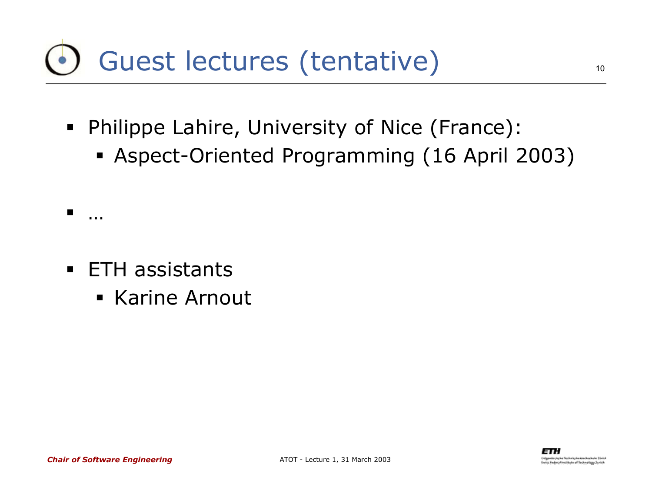## Guest lectures (tentative)

- Philippe Lahire, University of Nice (France):
	- Aspect-Oriented Programming (16 April 2003)

- **ETH** assistants
	- **Karine Arnout**

…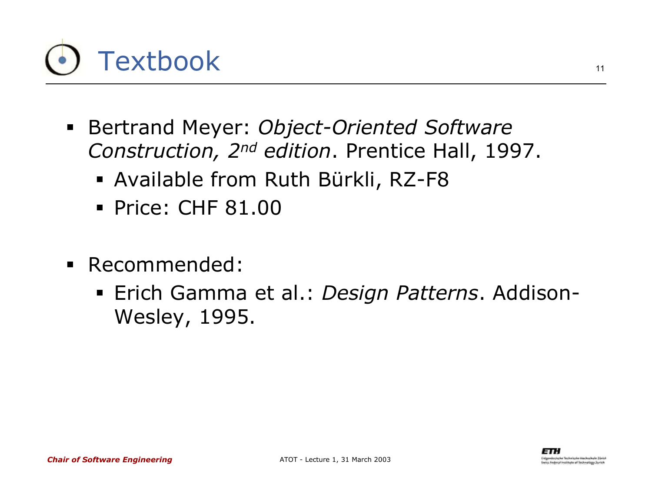# **Textbook**

- Bertrand Meyer: *Object-Oriented Software Construction, 2nd edition*. Prentice Hall, 1997.
	- Available from Ruth Bürkli, RZ-F8
	- Price: CHF 81.00
- Recommended:
	- Erich Gamma et al.: *Design Patterns*. Addison-Wesley, 1995.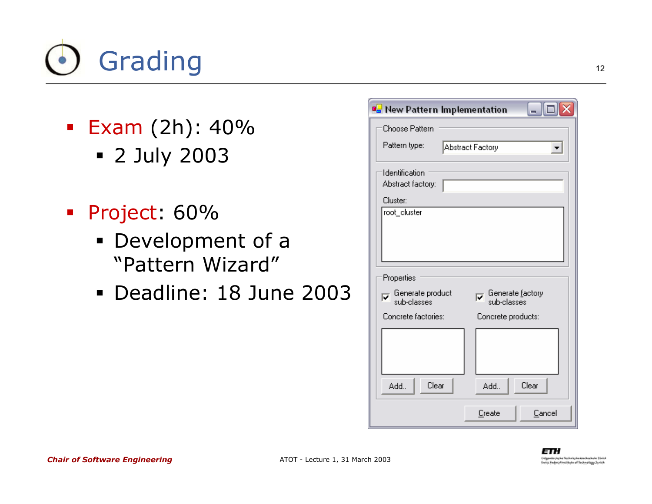# Grading

- Exam (2h): 40% 2 July 2003
- Project: 60%
	- Development of a "Pattern Wizard"
	- Deadline: 18 June 2003

| <b>B</b> New Pattern Implementation<br>ہ ار ۔                     |                    |
|-------------------------------------------------------------------|--------------------|
| Choose Pattern                                                    |                    |
| Pattern type:<br><b>Abstract Factory</b>                          |                    |
| Identification<br>Abstract factory:                               |                    |
| Cluster:                                                          |                    |
| root_cluster                                                      |                    |
| Properties<br>Generate factory<br>Generate product<br>sub-classes |                    |
| Concrete factories:                                               | Concrete products: |
|                                                                   |                    |
| Clear<br>Add                                                      | Clear<br>Add       |
|                                                                   | Cancel<br>Create   |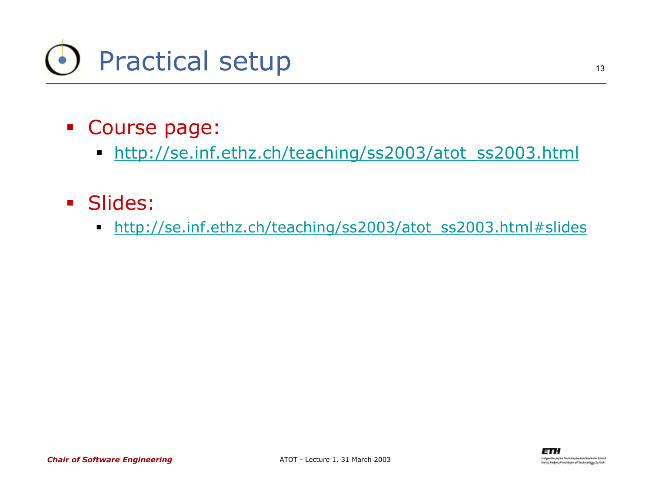

- Course page:
	- $\blacksquare$ http://se.inf.ethz.ch/teaching/ss2003/atot\_ss2003.html
- **Slides:** 
	- $\blacksquare$ http://se.inf.ethz.ch/teaching/ss2003/atot\_ss2003.html#slides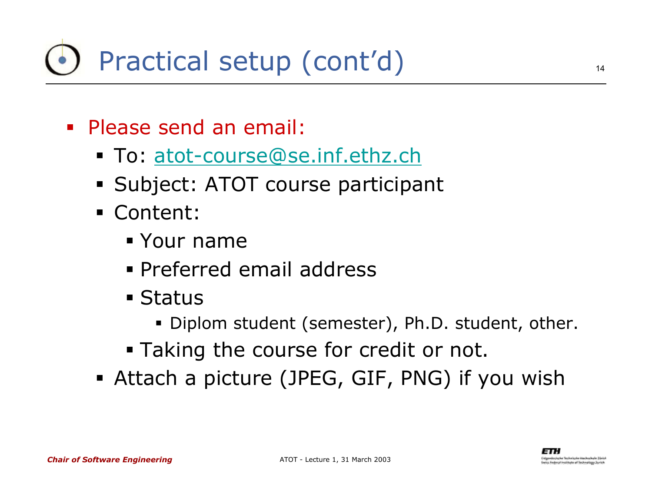- Please send an email:
	- To: atot-course@se.inf.ethz.ch
	- Subject: ATOT course participant
	- Content:
		- Your name
		- Preferred email address
		- Status
			- Diplom student (semester), Ph.D. student, other.
		- Taking the course for credit or not.
	- Attach a picture (JPEG, GIF, PNG) if you wish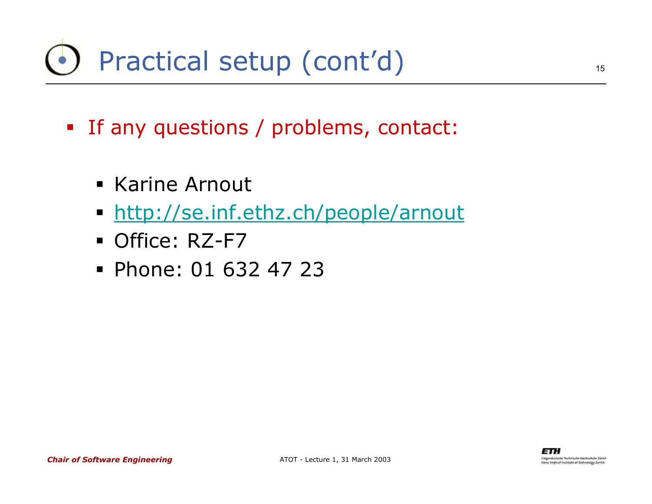## Practical setup (cont'd)

- If any questions / problems, contact:
	- **Karine Arnout**
	- http://se.inf.ethz.ch/people/arnout
	- Office: RZ-F7
	- Phone: 01 632 47 23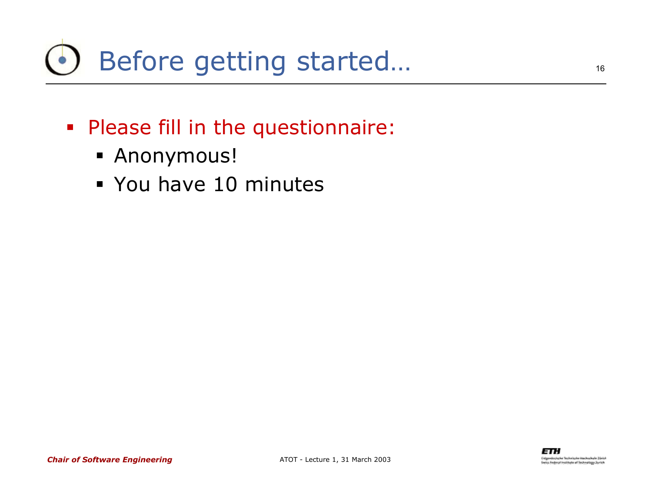## Before getting started…

- Please fill in the questionnaire:
	- Anonymous!
	- You have 10 minutes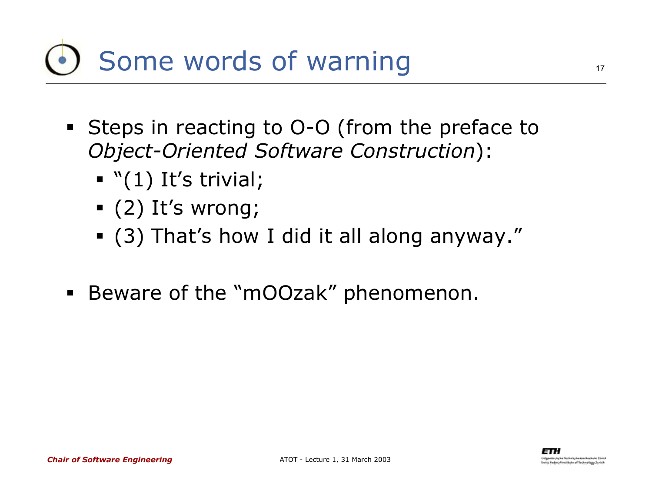## Some words of warning

- Steps in reacting to O-O (from the preface to *Object-Oriented Software Construction*):
	- $\blacksquare$  "(1) It's trivial;
	- (2) It's wrong;
	- (3) That's how I did it all along anyway."
- Beware of the "mOOzak" phenomenon.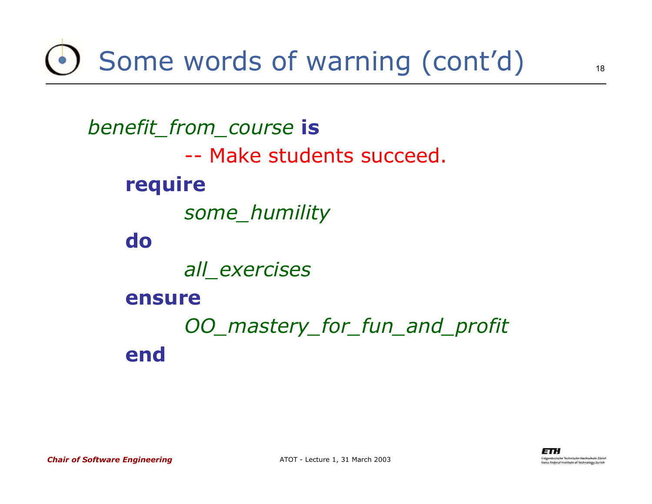Some words of warning (cont'd)

*benefit\_from\_course* **is** -- Make students succeed.**require** *some\_humility* **do***all\_exercises* **ensure***OO\_mastery\_for\_fun\_and\_profit* **end**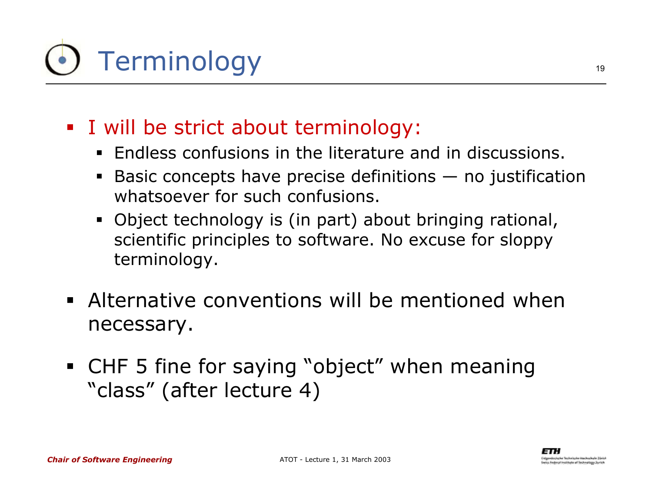# Terminology

- I will be strict about terminology:
	- Endless confusions in the literature and in discussions.
	- $\blacksquare$  Basic concepts have precise definitions — no justification whatsoever for such confusions.
	- Object technology is (in part) about bringing rational, scientific principles to software. No excuse for sloppy terminology.
- Alternative conventions will be mentioned when necessary.
- CHF 5 fine for saying "object" when meaning "class" (after lecture 4)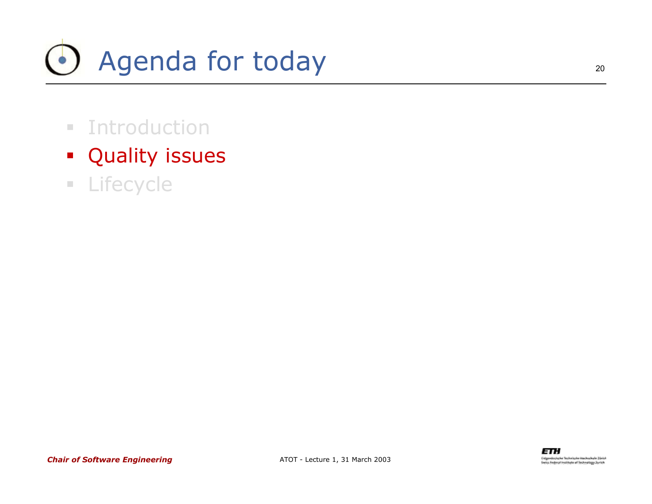

- **E** Introduction
- **•** Quality issues
- **ELifecycle**

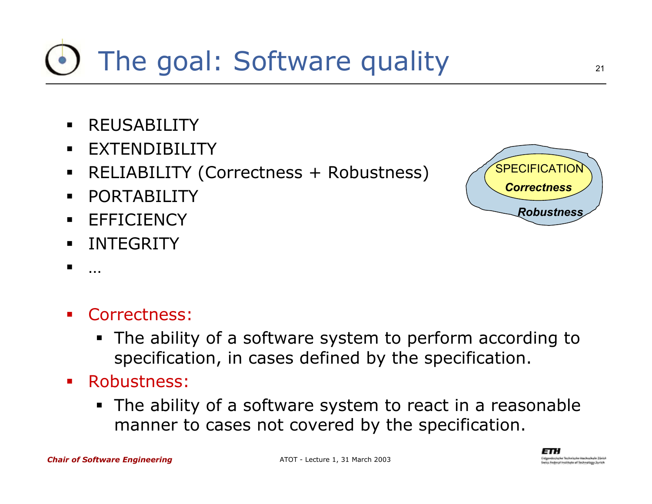### The goal: Software quality

- $\blacksquare$ REUSABILITY
- $\blacksquare$ EXTENDIBILITY
- $\blacksquare$ RELIABILITY (Correctness + Robustness)
- $\blacksquare$ PORTABILITY
- $\blacksquare$ **EFFICIENCY**
- ٠ INTEGRITY
- $\blacksquare$

…

- Ŧ Correctness:
	- The ability of a software system to perform according to specification, in cases defined by the specification.
- **Service Service**  Robustness:
	- The ability of a software system to react in a reasonable manner to cases not covered by the specification.



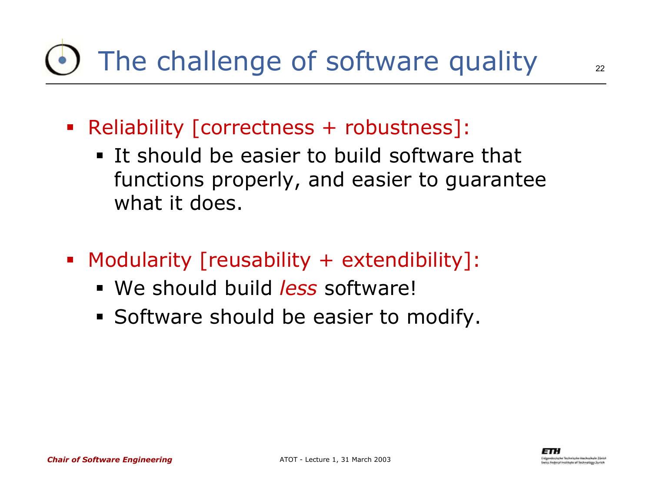## The challenge of software quality

- Reliability [correctness + robustness]:
	- **It should be easier to build software that** functions properly, and easier to guarantee what it does.
- b. Modularity [reusability + extendibility]:
	- We should build *less* software!
	- **Software should be easier to modify.**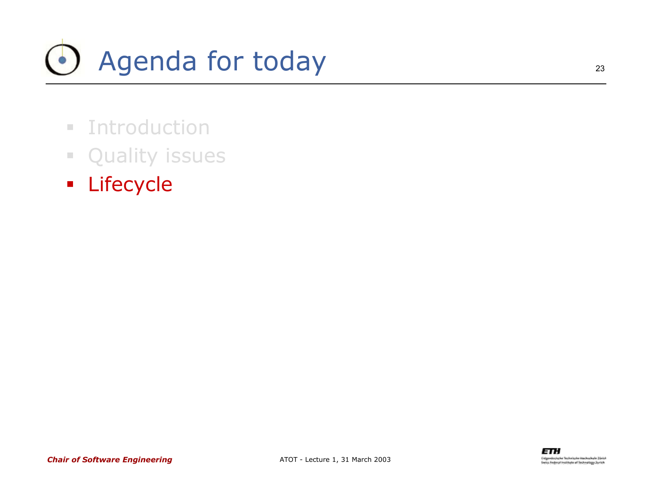# Agenda for today

- **E** Introduction
- **Quality issues**
- **Elifecycle**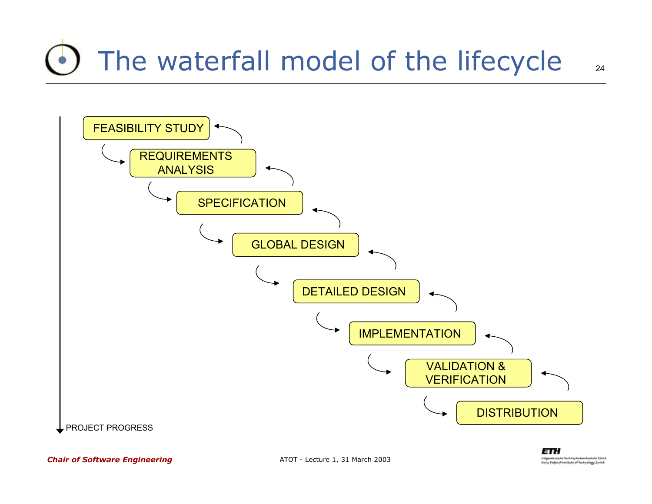## The waterfall model of the lifecycle

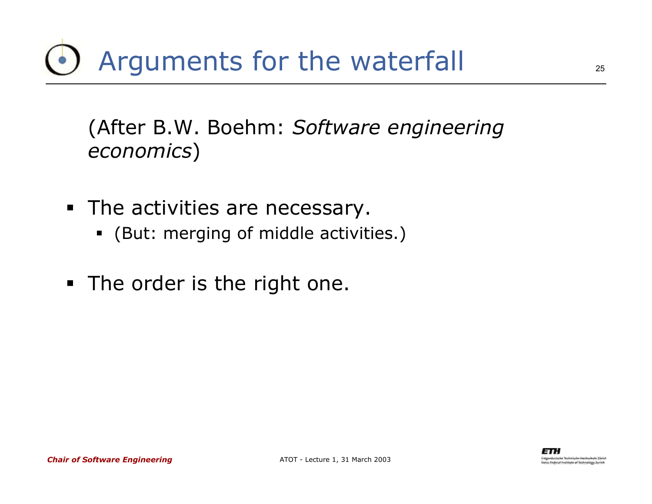(After B.W. Boehm: *Software engineering economics*)

- **The activities are necessary.** 
	- (But: merging of middle activities.)
- **The order is the right one.**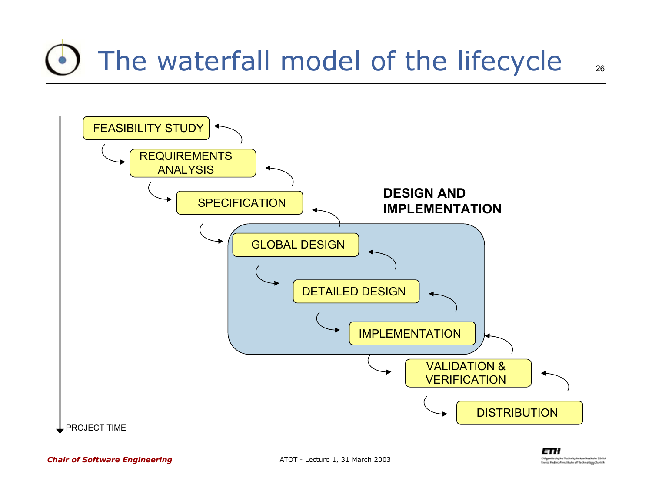## The waterfall model of the lifecycle

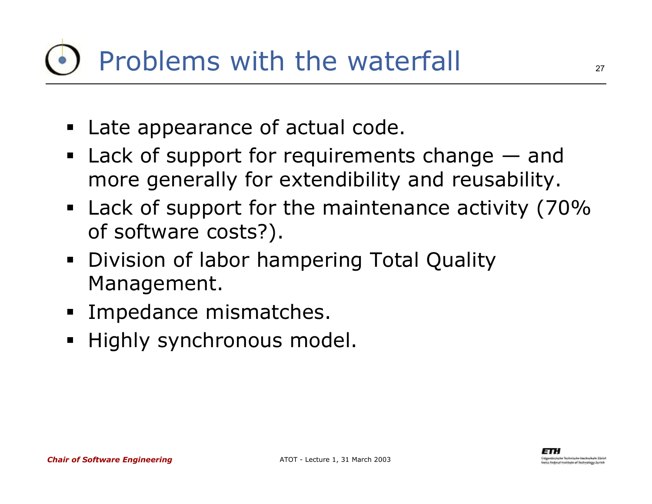## Problems with the waterfall

- **Late appearance of actual code.**
- **Lack of support for requirements change and** more generally for extendibility and reusability.
- **EXA)** Lack of support for the maintenance activity (70% of software costs?).
- **Division of labor hampering Total Quality** Management.
- **Impedance mismatches.**
- **•** Highly synchronous model.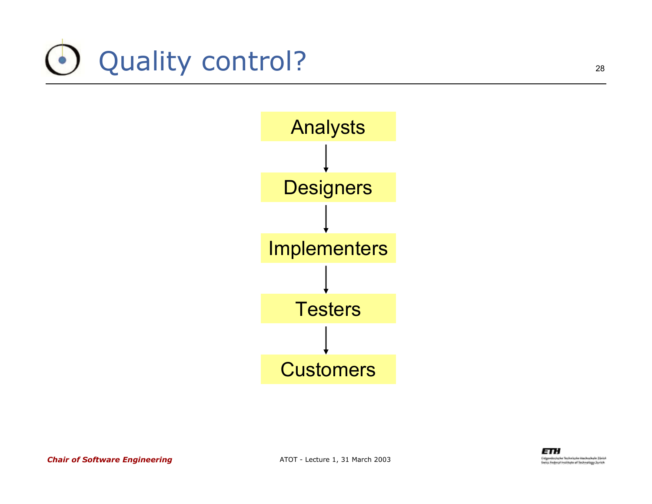



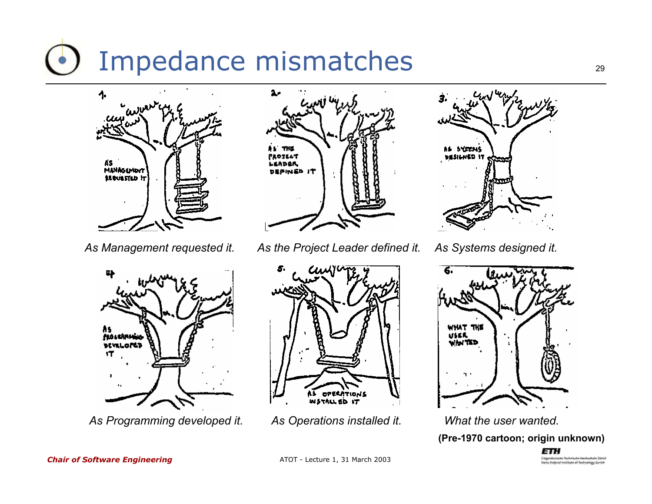## Impedance mismatches





*As Programming developed it. As Operations installed it. What the user wanted.*



*As Management requested it. As the Project Leader defined it. As Systems designed it.*







**(Pre-1970 cartoon; origin unknown)**ETH

Eidenvelophythe Technische Neubochshe Zürich **Swiss Pedecal Institute of Technology Zurich**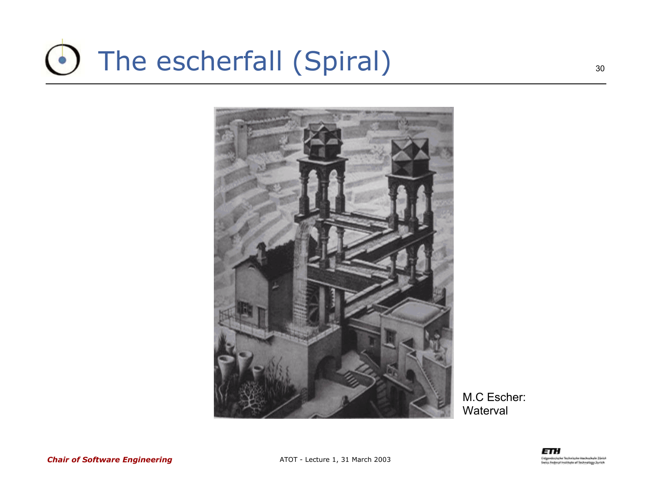#### The escherfall (Spiral)  $\left( \bullet \right)$



M.C Escher: **Waterval**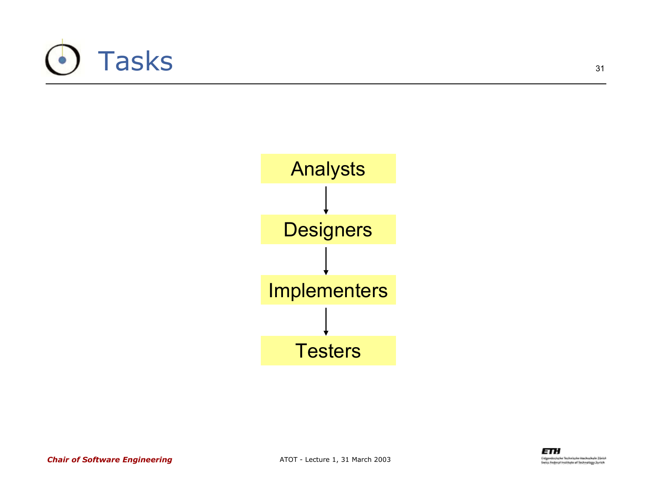





*Chair of Software Engineering*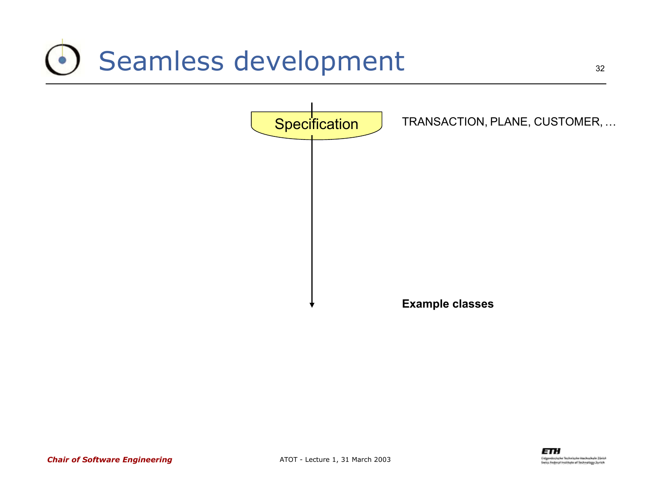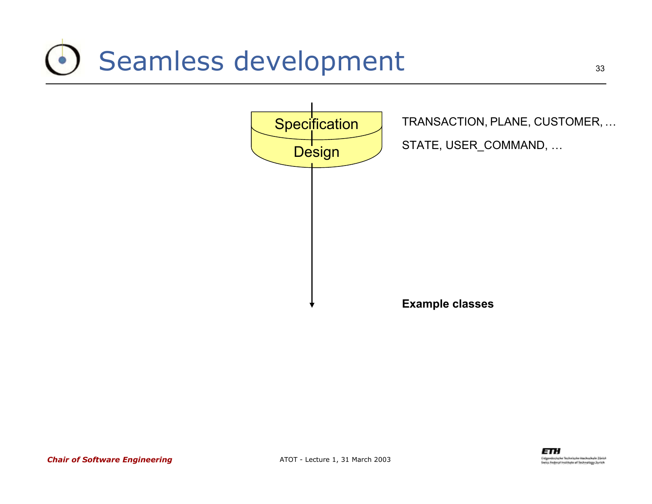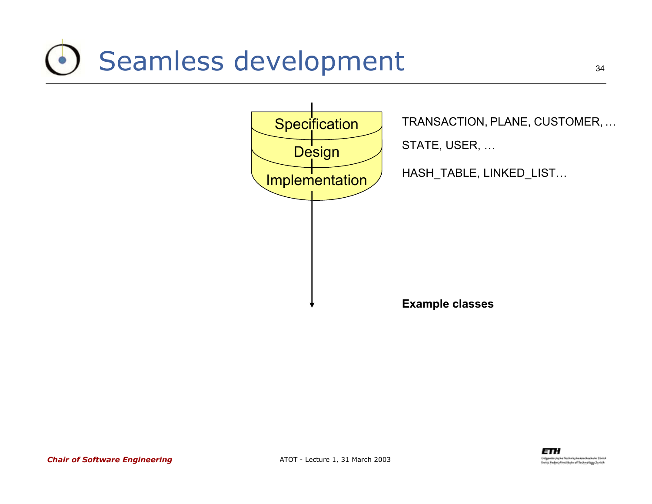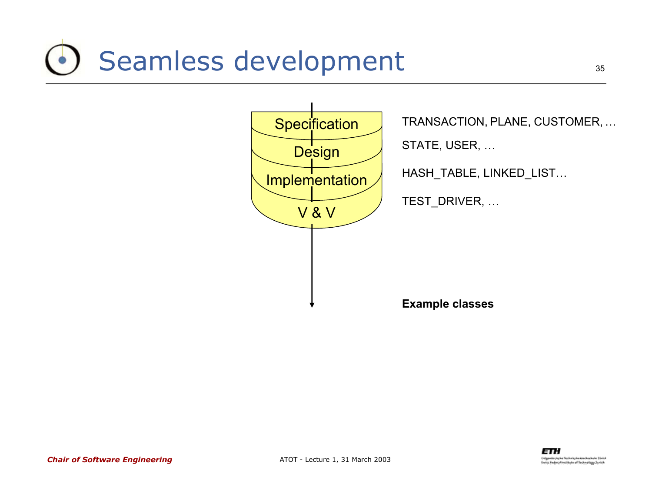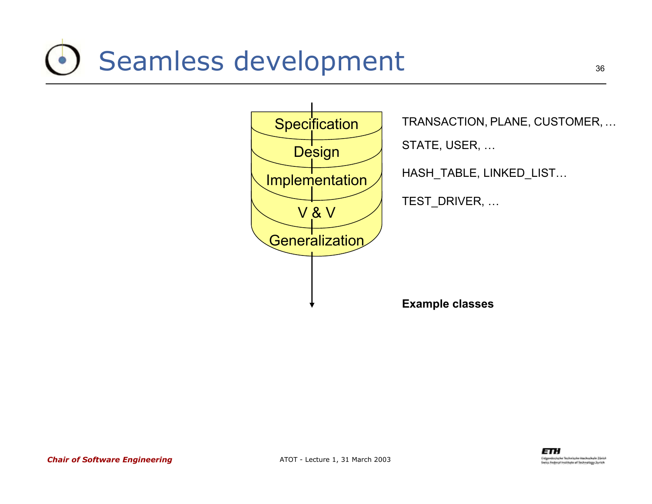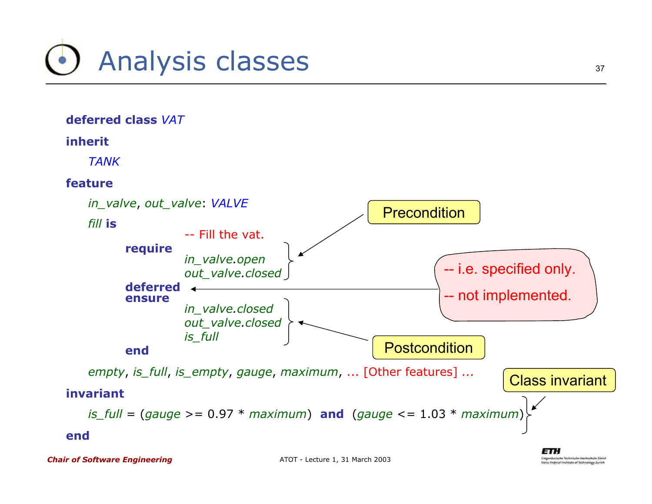



*Chair of Software Engineering*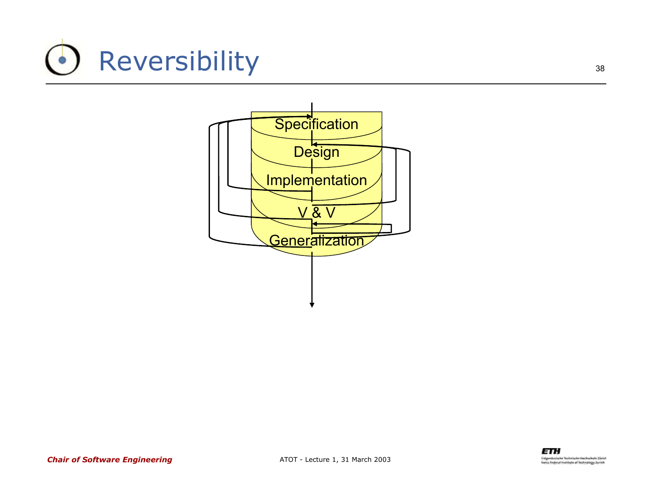## Reversibility

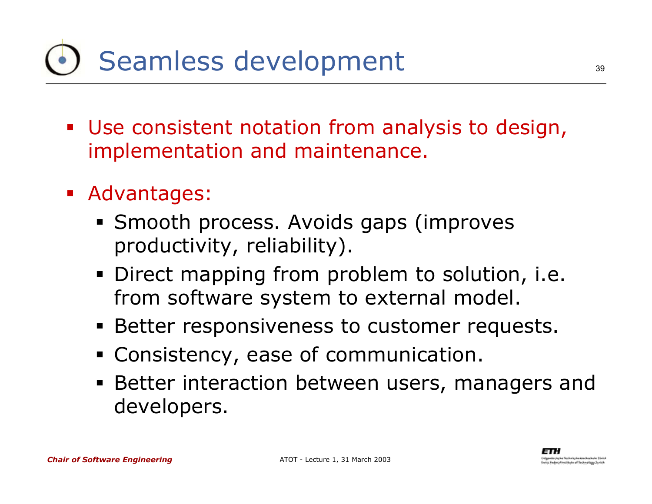- Use consistent notation from analysis to design, implementation and maintenance.
- Advantages:
	- **Smooth process. Avoids gaps (improves** productivity, reliability).
	- **Direct mapping from problem to solution, i.e.** from software system to external model.
	- **Better responsiveness to customer requests.**
	- Consistency, ease of communication.
	- Better interaction between users, managers and developers.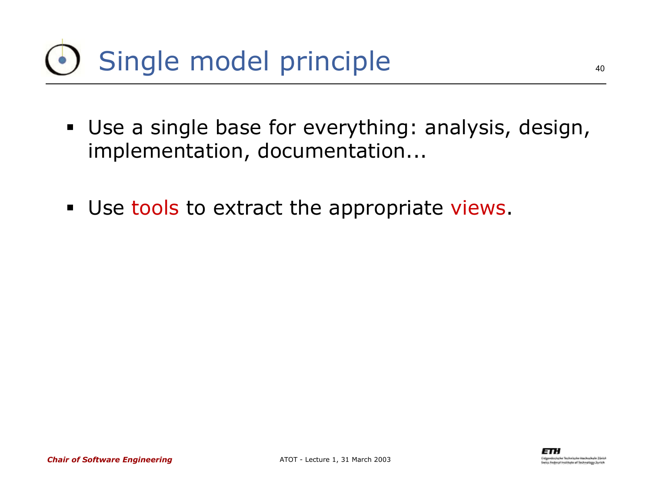## Single model principle

- Use a single base for everything: analysis, design, implementation, documentation...
- **Use tools to extract the appropriate views.**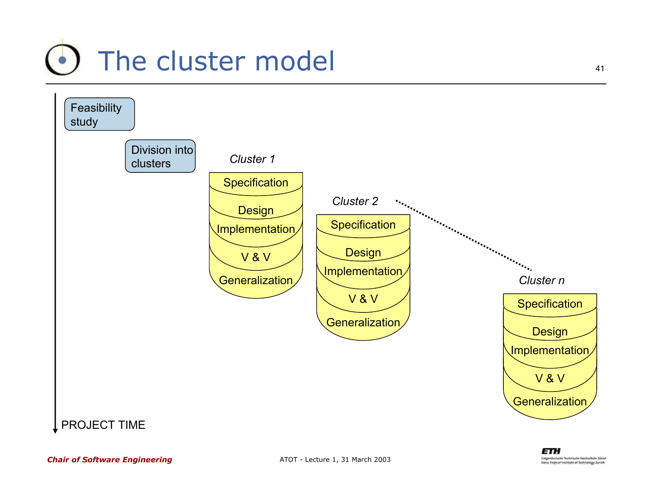#### $\bullet$ The cluster model



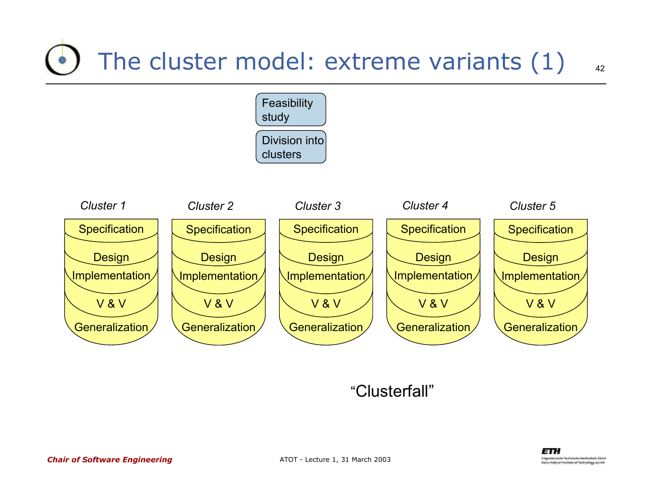### The cluster model: extreme variants (1)



#### "Clusterfall"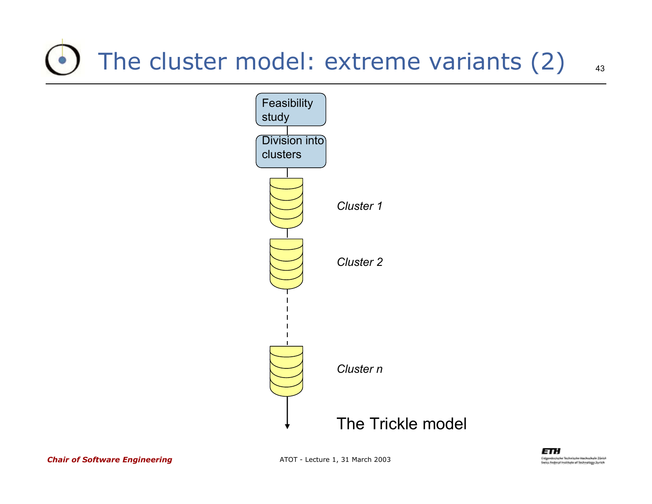### The cluster model: extreme variants (2)

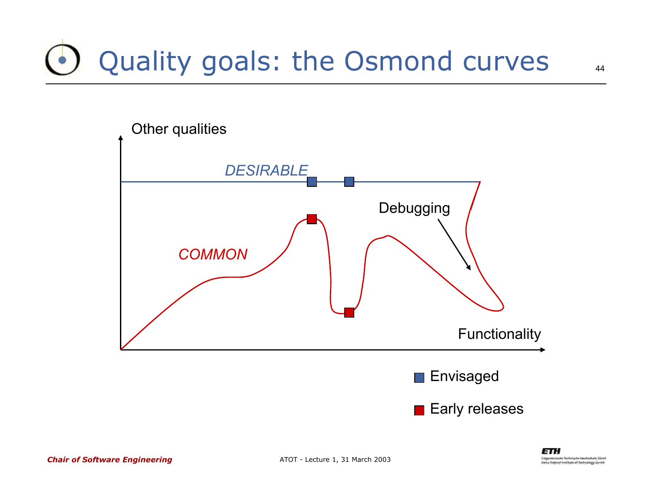## Quality goals: the Osmond curves

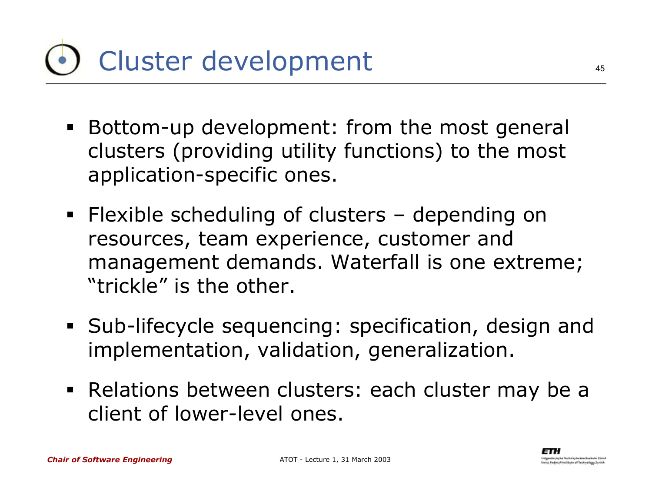## Cluster development

- Bottom-up development: from the most general clusters (providing utility functions) to the most application-specific ones.
- Flexible scheduling of clusters depending on resources, team experience, customer and management demands. Waterfall is one extreme; "trickle" is the other.
- Sub-lifecycle sequencing: specification, design and implementation, validation, generalization.
- Relations between clusters: each cluster may be a client of lower-level ones.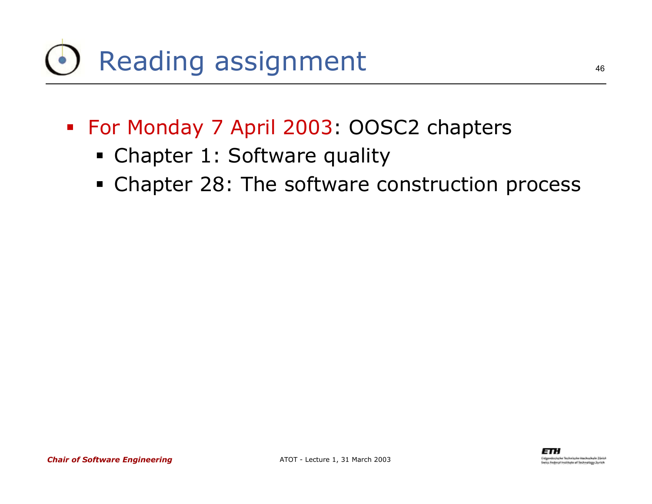## Reading assignment

- For Monday 7 April 2003: OOSC2 chapters
	- Chapter 1: Software quality
	- **Chapter 28: The software construction process**